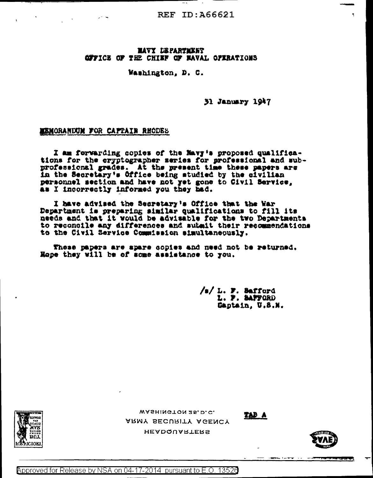#### **MAVY LEPARTMENT GPFICE OF THE CHIEF OF BAVAL OFIRATIONS**

#### Washington, D. C.

31 January 1947

#### **EXMORANIXUM FOR CAPPAIN RHODES**

I am forwarding copies of the Mavy's proposed qualifications for the cryptographer series for professional and subprofessional grades. At the present time these papers are in the Secretary's Office being studied by the civilian personnel section and have not yet gone to Civil Service, as I incorrectly informed you they had.

I have advised the Secretary's Office that the War Department is preparing similar qualifications to fill its needs and that it would be advisable for the two Departments to reconcile any differences and submit their recommendations to the Civil Service Commission simultaneously.

These papers are apare copies and need not be returned. Hope they will be of some assistance to you.

> /s/ L. F. Safford<br>L. F. SAFFORD Captain, U.S.N.

> > TAP A



WASHINGTON 25, D.C. ARMY SECURITY AGENCY **HEADQUARTERS** 



Approved for Release by NSA on 04-17-2014 pursuant to E.O. 13520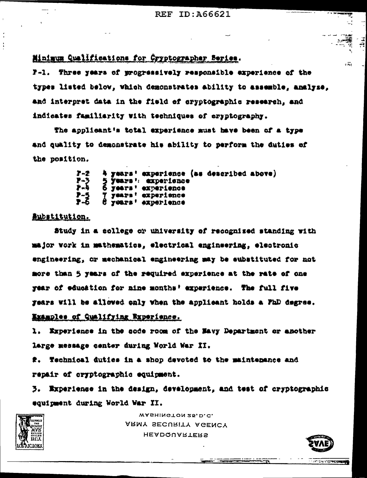Minimum Qualifications for Gryptographer Beries.

F-1. Three years of progressively responsible experience of the types listed below, which demonstrates ability to assemble, analyze, and interpret data in the field of cryptographic research, and indicates familiarity with techniques of eryptography.

The applicant's total experience must have been of a type and quality to demonstrate his ability to perform the duties of the position.

| $2 - 2$                         |  | 4 years' experience (as described above) |  |  |
|---------------------------------|--|------------------------------------------|--|--|
| アーン                             |  | 5 years': experience                     |  |  |
| $\mathbf{r}$                    |  | 6 years' experience                      |  |  |
| <b>7-5</b>                      |  | T years! experience                      |  |  |
| $\overline{r}$ – $\overline{6}$ |  | 8 years' experience                      |  |  |

## Bubstitution.

Study in a college or university of recognized standing with major work in mathematics, electrical engineering, electronic engineering, or mechanical engineering may be substituted for not more than 5 years of the required experience at the rate of one year of education for nine months' experience. The full five rears will be allowed only when the applicant holds a FhD degree. Examples of Qualifying Experience.

1. Experience in the acde room of the Navy Department or another large message center during World War II.

#. Technical duties in a shop devoted to the maintenance and repair of cryptographic equipment.

3. Experience in the design, development, and test of cryptographic equipment during World War II.



WASHINGTON 25, D.C. ARMY SECURITY AGENCY **HEADQUARTERS** 



 $\overline{5}$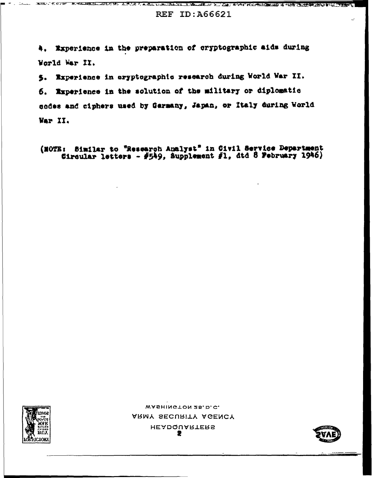World War II.





5. Experience in eryptographic research during World War II.

4. Experience in the preparation of cryptographic aids during

6. Experience in the solution of the military or diplomatic codes and ciphers used by Germany, Japan, or Italy during World War II.

(NOTE: Similar to "Research Analyst" in Civil Service Department Circular letters - #549, Supplement #1, dtd 8 February 1946)

#### a Canto in Library and the Canton and the Canada of A. De Aved Naver to the 19th Part of <u>ತಮ ಸಮಾನ್</u> **CARL STAL TERRAT. REF ID: A66621**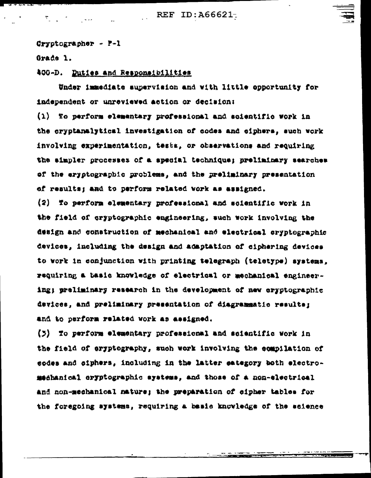Cryptographer - P-1

 $\mathcal{F}_{\mathcal{L}}(x)$  and  $\mathcal{F}_{\mathcal{L}}(x)$ 

Grade 1.

400-D. Duties and Responsibilities

Under immediate supervision and with little opportunity for independent or unreviewed action or decision:

(1) To perform elementary professional and scientific work in the cryptanalytical investigation of codes and eiphers, such work involving experimentation, tests, or observations and requiring the aimpler processes of a special technique; preliminary searches of the eryptographic problems, and the preliminary presentation of results; and to perform related work as assigned.

(2) To perform elementary professional and scientific vork in the field of cryptographic engineering, such work involving the design and construction of mechanical and electrical cryptographic devices, including the design and adaptation of ciphering devices to work in conjunction with printing tolograph (teletype) systems, requiring a basic knowledge of electrical or mechanical engineering; preliminary research in the development of new cryptographic devices, and preliminary presentation of diagrammatic results; and to perform related work as assigned.

(3) To perform elementary professional and scientific work in the field of eryptography, such work involving the compilation of eodes and ciphers, including in the latter eategory both electromedhanical cryptographic systems, and those of a non-electrical and non-mechanical mature; the preparation of cipher tables for the foregoing systems, requiring a basic knowledge of the science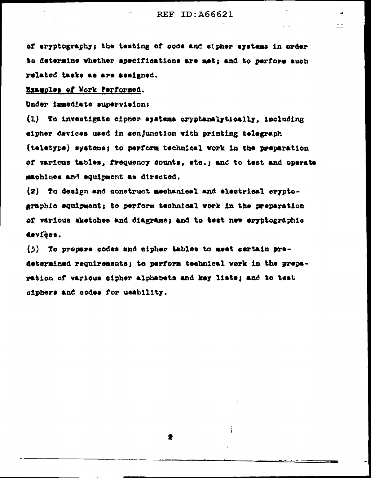## REF ID: 466621

 $\equiv$   $\equiv$ 

of errotography; the testing of code and cipher systems in order to determine whether specifications are met; and to perform auch related tasks as are assigned.

## Examples of Work Performed.

Under immediate supervision:

(1) To investigate cipher systems cryptanalytically, including eipher devices used in conjunction with printing telegraph (teletype) systems; to perform technical work in the preparation of various tables, frequency counts, etc.; and to test and operate machines and equipment as directed.

(2) To design and construct mechanical and electrical cryptographic aquipment; to perform technical work in the preparation of various aketches and diagrams; and to test new eryptographic devfees.

(3) To propare codes and cipher tables to meet certain predetermined requirements; to perform technical work in the preparation of various sipher alphabets and key lists; and to test siphers and codes for usability.

2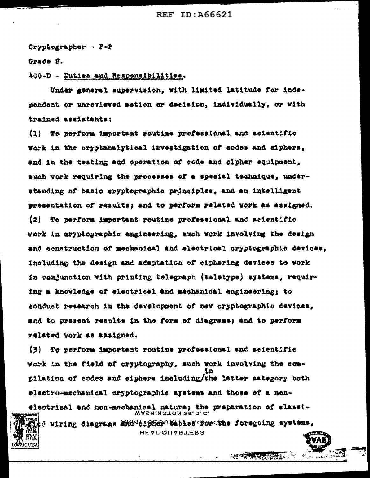Cryptographer - P-2

Grade 2.

400-D - Duties and Responsibilities.

Under general supervision, with limited latitude for independent or unreviewed action or decision, individually, or with trained assistants:

(1) To perform important routine professional and scientific work in the cryptanalytical investigation of sodes and ciphera, and in the teating and operation of code and cipher equipment. such work requiring the processes of a special technique, understanding of basic eryptographic principles, and an intelligent presentation of results; and to perform related work as assigned. (2) To perform important routine professional and scientific work in aryptographic engineering, such work involving the design and construction of mechanical and electrical oryptographic devices, including the design and adaptation of ciphering devices to work in conjunction with printing telegraph (teletype) systems, requiring a knowledge of electrical and mechanical engineerings to sonduct research in the development of new cryptographic devices, and to present results in the form of diagrams; and to perform related vork as assigned.

(3) To perform important routine professional and scientific Work in the field of eryptography, such work involving the com-1n pilation of codes and eiphers including/the latter category both electro-mechanical cryptographic systems and those of a nonelectrical and non-mechanical nature; the preparation of classi-WASHINGTON 25. D. C. the viring diagrams and distermates for the foregoing systems,

**HEADQUARTERS** 



**一定不可不可不可以**。"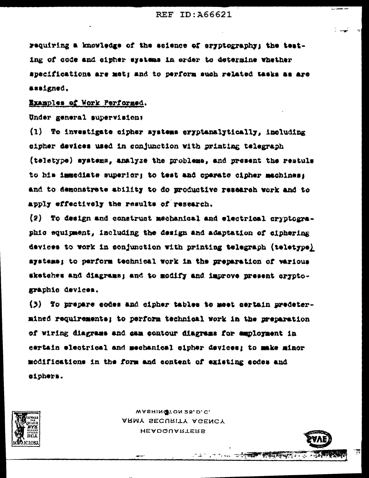requiring a knowledge of the science of eryptography; the testing of code and sipher systems in order to determine whether specifications are met; and to perform such related tasks as are assigned.

Examples of Work Performed.

Under general supervision;

(1) To investigate cipher mystems eryptanalytically, including eipher devices used in conjunction with printing telegraph (teletype) systems, analyze the problems, and present the restuls to his immediate superior; to test and operate cipher machines; and to demonstrate ability to do productive research work and to apply effectively the results of research.

(2) To design and construct mechanical and electrical cryptographic equipment, including the design and adaptation of ciphering devices to work in conjunction with printing telegraph (teletype) ayatema; to perform technical work in the preparation of various sketches and diagrams; and to modify and improve present cryptographic devices.

(3) To prepare eodes and cipher tables to meet sertain predetermined requirements; to perform technical work in the preparation of wiring diagrams and cam contour diagrams for amployment in certain electrical and mechanical sipher devices; to make minor modifications in the form and content of existing codes and eiphers.



WASHINGTON 25, D.C. ARMY SECURITY AGENCY **HEADQUARTERS** 



アキシリア Sun (エキン<del>族の)の (教育の)の(</del> アイマン を)

ह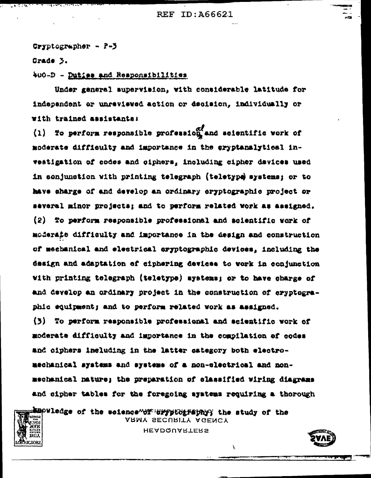Cryptographer -  $P-5$ 

Grade 3.

וא∩ז:

ति । स**र्थ** भाषान् तथान

 $\mathbf{A}$   $\mathbf{A}$   $\mathbf{A}$ 

400-D - Duties and Responsibilities

Under general aupervision, with considerable latitude for independent or unreviewed action or decision, individually or with trained assistants:

(1) To perform responsible profession and ecientific work of moderate difficulty and importance in the eryptanalytical investigation of codes and ciphers, including cipher davices used in conjunction with printing telegraph (teletype systems; or to have sharge of and develop an ordinary eryptographic project or several minor projects; and to perform related work as assigned. (2) To perform responsible professional and scientific work of moderate difficulty and importance in the design and construction of mechanical and electrical eryptographic devices, including the design and adaptation of ciphering devices to vork in conjunction With printing telegraph (teletype) systems; or to have charge of and develop an ordinary project in the construction of cryptographic equipment; and to perform related work as assigned. (3) To perform responsible professional and scientific work of moderate difficulty and importance in the compilation of codes and oiphers including in the latter category both electro-

mechanical systems and systems of a non-electrical and nonmechanical nature; the preparation of classified wiring diagrams and sipher tables for the foregoing systems requiring a thorough

EBOWledge of the science of drypt diffully the study of the ARMY SECURITY AGENCY

**HEADQUARTERS** 

Y

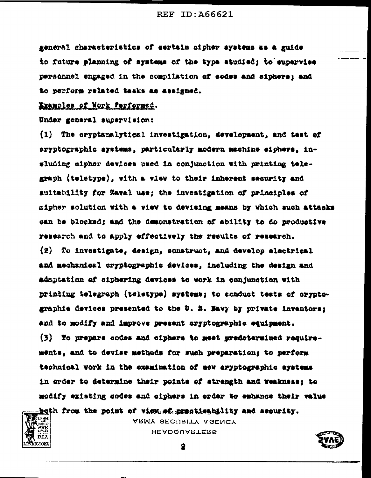general characteristics of eertain cipher systems as a guide to future planning of systems of the type studied; to supervise personnel engaged in the compilation of sodes and siphers; and to perform related tasks as assigned.

# Examples of Nork Performed.

Under general supervision:

(1) The cryptanalytical investigation, development, and test of eryptographic systems, particularly modern machine siphers, insluding sipher devices used in conjunction with printing telegraph (teletype), with a view to their inherent security and suitability for Maval use: the investigation of principles of sipher solution with a view to devising means by which such attacks can be blocked; and the demonstration of ability to do productive research and to apply effectively the results of research.  $(2)$ To investigate, design, construct, and develop electrical and mechanical cryptographic devices, including the design and adaptation of siphering devices to work in conjunction with printing telegraph (teletype) systems; to conduct tests of oryptographie devices presented to the U. S. Mavy by private inventors; and to modify and improve present aryptographic equipment. (3) To prepare codes and eiphers to meet predetermined requirements, and to devise methods for such preparation; to perform technical vork in the examination of new eryptographic systems in order to determine their points of strength and veakness; to modify existing sodes and siphers in order to eshance their value

both from the point of view ef greatieshility and security.



ARMY SECURITY AGENCY **HEADQUARTERS** 

을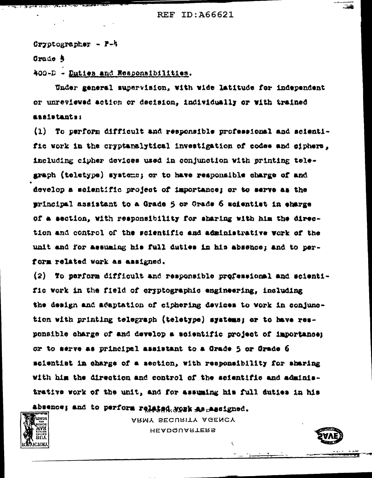Cryptographer -  $P - k$ 

Grade 5

400-D - Duties and Responsibilities.

Under general supervision, with wide latitude for independent or unreviewed action or decision, individually or with trained *assistants:* 

(1) To perform difficult and responsible professional and scientific work in the cryptanalytical investigation of codes and siphers, including cipher devices used in conjunction with printing telegraph (teletype) systems; or to have responsible charge of and develop a scientific project of importance; or to serve as the principal assistant to a Grade 5 or Grade 6 scientist in eharge of a section, with responsibility for sharing with him the direction and control of the scientific and administrative work of the unit and for assuming his full duties in his absence; and to perform related work as assigned.

(2) To perform difficult and responsible professional and scientific work in the field of eryptographic engineering, including the design and adaptation of ciphering devices to work in conjunction with printing telegraph (teletype) systems; or to have responsible charge of and develop a scientific project of importance; or to serve as principal assistant to a Grade 5 or Grade 6 scientist in charge of a section, with responsibility for sharing with him the direction and control of the scientific and administrative work of the unit, and for assuming his full duties in his

absence; and to perform relained, youk as mestgned.



ARMY SECURITY AGENCY **HEADQUARTERS** 



ŧ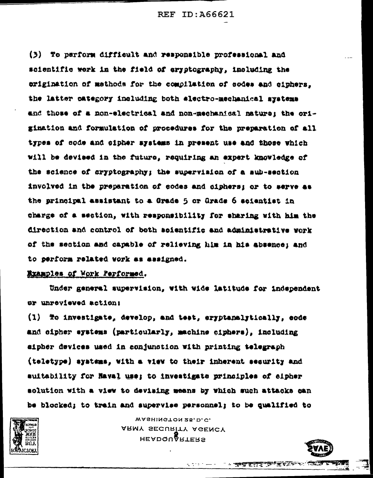(3) To perform difficult and responsible professional and scientific work in the field of eryptography, including the erigination of methods for the compllation of sodes and ciphers. the latter category including both electro-mechanical systems and those of a non-electrical and non-mechanical nature: the origination and formulation of procedures for the preparation of all types of code and cipher systems in present use and those which Will be devised in the future, requiring an expert knowledge of the science of aryptography; the supervision of a sub-section involved in the preparation of codes and ciphers: or to serve as the principal assistant to a Grade 5 or Grade 6 scientist in tharge of a section, with responsibility for sharing with him the direction and control of both soientific and administrative work of the section and capable of relieving him in his absence; and to perform related work as assigned.

# Examples of Work Performed.

Under general supervision, with wide latitude for independent sr unreviewed action:

(1) To investigate, develop, and test, eryptanalytically, code and cipher eystems (particularly, machine ciphers), including aipher devices used in conjunction with printing telegraph (teletype) systems, with a view to their inherent security and auitability for Haval use; to investigate principles of eipher solution with a view to devising means by which such attacks can be blocked; to train and supervise personnel; to be qualified to



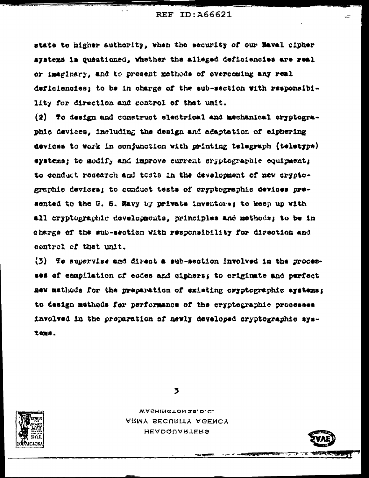state to higher authority, when the security of our Haval cipher systems is questioned, whether the alleged deficiencies are real or imaginary, and to present methods of overcoming any real deficiencies; to be in charge of the sub-section with responsibility for direction and control of that unit.

 $(2)$  To design and construct electrical and mechanical eryptographic devices, including the design and adaptation of eiphering devices to work in conjunction with printing telegraph (teletype) systems; to modify and improve current cryptographic equipment; to conduct research and tests in the development of new cryptographic devices; to conduct tests of cryptographic devices presented to the U. S. Navy by private inventors; to keep up with all cryptographic developments, principles and methods; to be in charge of the sub-section with responsibility for direction and control of that unit.

 $(3)$  To supervise and direct a aub-section involved in the processes of compilation of codes and ciphers; to originate and perfect new methods for the preparation of existing cryptographic systems; to design methods for performance of the cryptographic processes involved in the preparation of newly developed cryptographic systems.



WASHINGTON 25, D.C. ARMY SECURITY AGENCY **HEADQUARTERS** 



÷Ξ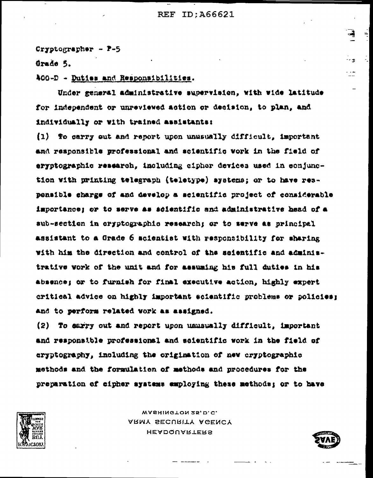Cryptographer  $-2-5$ 

Orade 5.

400-D - Duties and Responsibilities.

Under general administrative supervision, with wide latitude for independent or unreviewed action or decision, to plan, and individually or with trained assistants:

(1) To carry out and report upon unusually difficult. important and responsible professional and scientific vork in the field of eryptographic research, including cipher devices used in conjunction with printing telegraph (teletype) ayatems; or to have respensible charge of and develop a scientific project of considerable importance; or to serve as acientific and administrative head of a sub-section in cryptographic research; or to serve as principal assistant to a Grade 6 scientist with responsibility for sharing with him the direction and control of the scientific and administrative work of the unit and for assuming his full duties in his absence; or to furnish for final executive action, highly expert critical advice on highly important scientific problems or policies: and to perform related work as assigned.

(2) To sarry out and report upon unusually difficult, important and responsible professional and scientific work in the field of eryptography, including the origination of new cryptographic methods and the formulation of methods and procedures for the preparation of cipher systems employing these methods; or to have



WASHINGTON 25, D.C. ARMY SECURITY AGENCY **HEADQUARTERS** 



 $-1$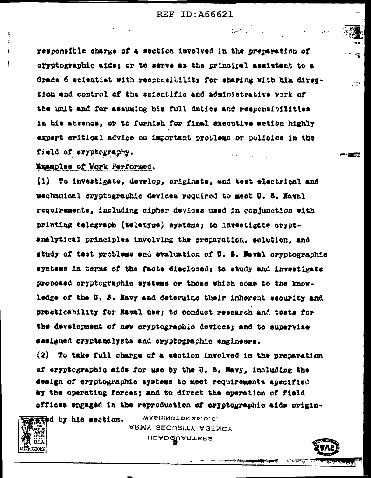$\label{eq:2.1} \frac{1}{2} \frac{d^2}{dt^2} \left( \frac{d^2}{dt^2} - \frac{1}{2} \left( \frac{d^2}{dt^2} \right) \right) \left( \frac{d^2}{dt^2} - \frac{1}{2} \left( \frac{d^2}{dt^2} \right) \right) \left( \frac{d^2}{dt^2} \right) \left( \frac{d^2}{dt^2} \right) \left( \frac{d^2}{dt^2} \right) \left( \frac{d^2}{dt^2} \right) \left( \frac{d^2}{dt^2} \right) \left( \frac{d^2}{dt^2} \right) \left( \frac{d$ 

न, पहाड

responsible charge of a section involved in the preparation of dryptographic aids; or to serve as the principal assistant to a Grade 6 scientist with responsibility for sharing with him direction and control of the scientific and administrative work of the unit and for assuming his full duties and responsibilities in his absence, or to furnish for final executive action highly expert critical advice on important problems or policies in the field of eryptography. ستوري المناد

# Examples of Work Performed.

(1) To investigate, develop, originate, and test electrical and mechanical cryptographic devices required to meet U. S. Naval requirements, including cipher devices used in conjunction with printing telegraph (teletype) systems; to investigate cryptanalytical principles involving the preparation, solution, and study of test problems and evaluation of U. S. Haval oryptographic systems in terms of the facts disclosed; to study and investigate proposed cryptographic systems or those which come to the knowledge of the U. S. Navy and determine their inherent sequrity and practicability for Maval use; to conduct research and tests for the development of new cryptographic devices; and to supervise assigned cryptanalysts and eryptographic engineers.

(2) To take full charge of a section involved in the preparation of eryptographic aids for use by the U. S. Mavy, including the design of cryptographic systems to meet requirements specified by the operating forces; and to direct the operation of field offices engaged in the reproduction of cryptographic aids origin-



į

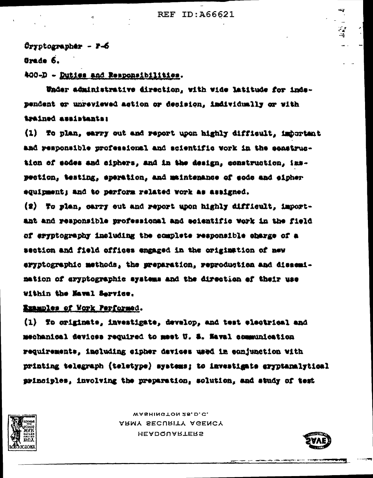$0$ ryptographer -  $7-6$ 

Grade 6.

400-D - Duties and Responsibilities.

Under administrative direction, with wide latitude for independent or unreviewed action or decision, individually or with istained assistants:

(1) To plan, earry out and report upon highly difficult, important and responsible professional and scientific vork in the senstruction of sodes and siphers, and in the design, construction, inspection, testing, eperation, and maintenance of eode and eipher equipment; and to perform related work as assigned.

(2) To plan, carry out and report upon highly difficult, important and responsible professional and scientific work in the field of eryptography including the complete responsible charge of a wes to notitation wit headers septile offer ans notices eryptographic methods, the preparation, reproduction and dissemimation of aryptographic systems and the direction of their use Within the Maval Service.

Examples of Work Performed.

(1) To originate, investigate, develop, and test electrical and mechanical devices required to meet U. S. Naval communication requirements, including cipher devices used in conjunction with printing telegraph (teletype) systems; to investigate eryptanalytical principles, involving the preparation, solution, and study of test



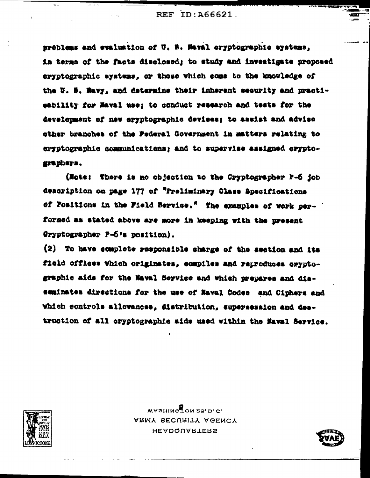préblems and evaluation of U. S. Maval cryptographic systems, in terms of the facts disclosed; to study and investigate proposed eryptographic systems, or those which come to the knowledge of the U. S. Wavy, and determine their inherent security and practieability for Maval use; to conduct research and tests for the development of new eryptographic devices; to assist and advise other branches of the Federal Government in matters relating to aryptographic communications; and to supervise assigned oryptographers.

(Note: There is no objection to the Cryptographer P-6 job description on page 177 of "Preliminary Class Specifications of Fositions in the Field Service." The examples of work performed as stated above are more in keeping with the present Gryptographer P-6's position).

(2) To have complete responsible charge of the section and its field offices which originates, compiles and reproduces oryptographic aids for the Naval Service and which prepares and disseminates directions for the use of Naval Codes and Ciphers and Which controls allowances, distribution, supersession and destruction of all cryptographic aids used within the Maval Service.



 $M$ ARMY SECURITY AGENCY **HEADQUARTERS** 

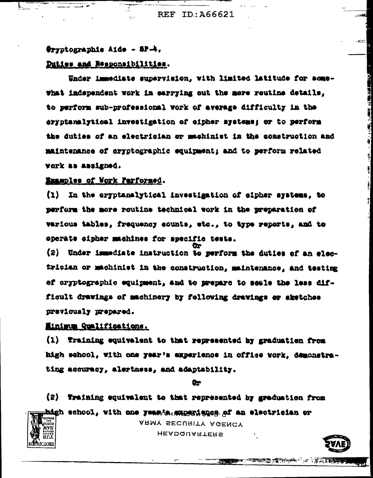#### Oryptographic Aide - SP-4.

 $\mathbf{L}$ 

## Duties and Responsibilities.

Under immediate supervision, with limited latitude for somewhat independent work in earrying out the more routine details. to perform sub-professional work of average difficulty in the eryptanalytical investigation of eipher systems; or to perform the duties of an electrician or machinist in the construction and maintenance of aryptographic equipment; and to perform related **WOrk as Assigned.** 

#### Examples of Nork Parformed.

(1) In the eryptanalytical investigation of eipher systems, to perform the more routine technical work in the preparation of various tables. frequency sounts, etc., to type reports, and to sperate cipher machines for specific tests.

(2) Under immediate instruction to perform the duties of an electrician or machinist in the construction, maintenance, and testing of cryptographic equipment, and to prepare to seale the less difficult drawings of machinery by following drawings or sketches previously prepared.

# Minimum Qualifications.

(1) Training equivalent to that represented by graduation from high school, with one year's experience in office work, demonstrating accuracy, alertness, and adaptability.

êr

(2) Training equivalent to that represented by graduation from high wehool, with one year/s, experience of an electrician or



ARMY SECURITY AGENCY **HEADQUARTERS** 

甲ゴミ 新羅寺 1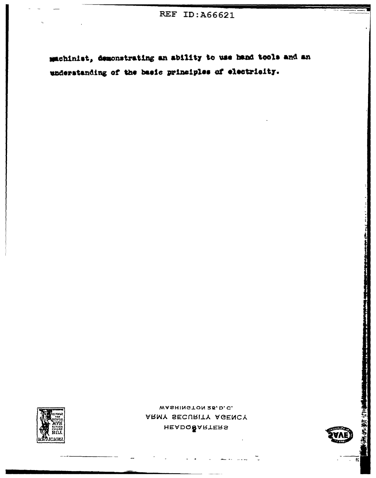machinist, demonstrating an ability to use hand tools and an understanding of the basic principles of electricity.



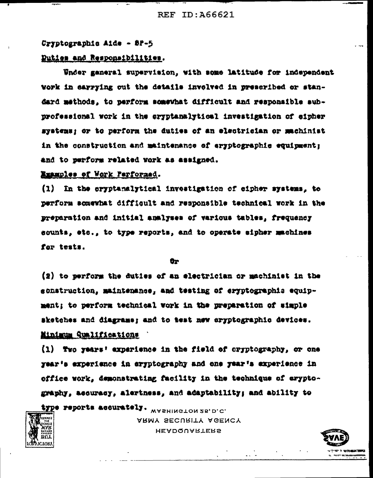#### Cryptographic Aide - 8P-5

# Duties and Responsibilities.

Under ganeral supervision, with some latitude for independent work in carrying out the details involved in prescribed or standard methods, to perform somewhat difficult and responsible subprofessional work in the eryptanalytical investigation of eipher systems; or to perform the duties of an electrician or machinist in the construction and maintenance of eryptographic equipment; and to perform related york as assigned.

#### Examples of Work Performed.

**ELVAL2** 

וארוראו

 $(1)$ In the cryptanalytical investigation of cipher systems, to perform somewhat difficult and responsible technical work in the preparation and initial analyses of various tables, frequency sounts, etc., to type reports, and to operate sipher machines for tests.

Ör

(2) to perform the duties of an electrician or machinist in the sonstruction, maintenance, and testing of eryptographis equipment; to perform technical work in the preparation of simple sketches and diagrams; and to test new eryptographic devices. Minimum Qualifications

(1) Two years' experience in the field of cryptography, or one year's experience in eryptography and one year's experience in office work, demonstrating facility in the technique of eryptography, acouracy, alertness, and adaptability; and ability to

#Abe reborgs weentsge . WASHINGTON 25, D.C. ARMY SECURITY AGENCY **HEADQUARTERS** 



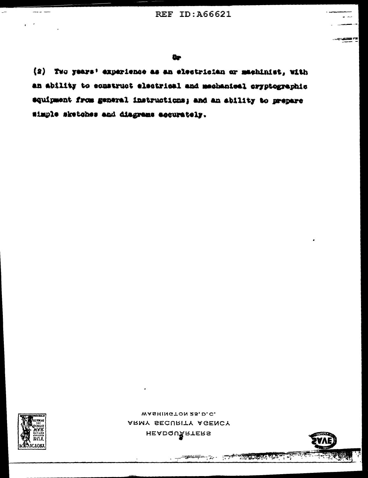(2) Two years' experience as an electrician or machinist, with an ability to sonstruct electrical and mechanical cryptographic equipment from general instructions; and an ability to prepare Wimple sketches and diagrams accurately.



 $\sim$ 

----

 $\epsilon$  .  $\epsilon$ 

WASHINGTON 25, D.C. ARMY SECURITY AGENCY HEADQUARTERS

THE REAL PROPERTY OF THE REAL PROPERTY.

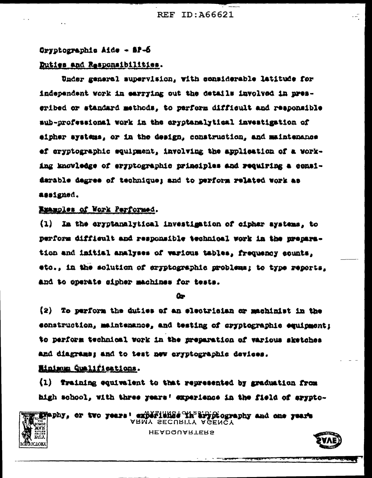#### Oryptographic Aide - SP-6

### Duties and Responsibilities.

Under general supervision, with considerable latitude for independent work in earrying out the details involved in nreseribed or standard methods, to perform difficult and responsible sub-professional work in the eryptanalytical investigation of aipher systems, or in the design, construction, and maintenance ef eryptographic squipment, involving the application of a vorking knowledge of eryptographic primeiples and requiring a considarable degree of technique; and to perform related work as assigned.

## Examples of Work Performed.

 $(1)$ In the eryptanalytical investigation of cipher systems, to perform difficult and responsible technical work in the preparation and initial analyses of various tables, frequency counts, etc.. in the solution of eryptographic problems; to type reports, and to operate sipher machines for tests.

#### Ôr.

(2) To perform the duties of an electrician or machinist in the construction, maintenance, and testing of cryptographic equipment; to perform technical work in the preparation of various sketches and diagrams; and to test new cryptographic devices.

# Minimum Qualifications.

**JCLOKA** 

(1) Training equivalent to that represented by graduation from high school, with three years! experience in the field of arypto-

EFAPhy, or two years: experished in ary piography and one rears ARMY SECURITY AGENCY

**HEADQUARTERS**